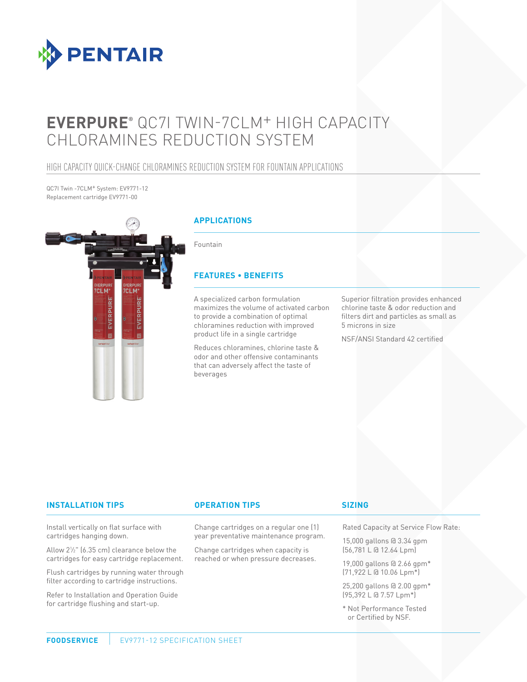

# **EVERPURE®** QC7I TWIN-7CLM+ HIGH CAPACITY CHLORAMINES REDUCTION SYSTEM

### HIGH CAPACITY QUICK-CHANGE CHLORAMINES REDUCTION SYSTEM FOR FOUNTAIN APPLICATIONS

QC7I Twin -7CLM+ System: EV9771-12 Replacement cartridge EV9771-00



#### **INSTALLATION TIPS OPERATION TIPS**

Install vertically on flat surface with cartridges hanging down.

Allow 21 ⁄2" (6.35 cm) clearance below the cartridges for easy cartridge replacement.

Flush cartridges by running water through filter according to cartridge instructions.

Refer to Installation and Operation Guide for cartridge flushing and start-up.

Change cartridges on a regular one (1) year preventative maintenance program.

Change cartridges when capacity is reached or when pressure decreases.

#### **SIZING**

Rated Capacity at Service Flow Rate:

15,000 gallons @ 3.34 gpm (56,781 L @ 12.64 Lpm)

19,000 gallons @ 2.66 gpm\* (71,922 L @ 10.06 Lpm\*)

25,200 gallons @ 2.00 gpm\* (95,392 L @ 7.57 Lpm\*)

\* Not Performance Tested or Certified by NSF.